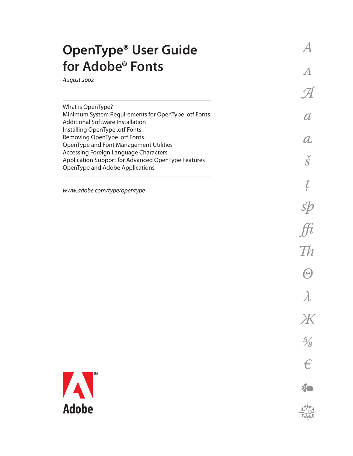| <b>OpenType<sup>®</sup> User Guide</b>                                                                                                         |                    |
|------------------------------------------------------------------------------------------------------------------------------------------------|--------------------|
| for Adobe <sup>®</sup> Fonts                                                                                                                   | $\mathcal A$       |
| August 2002                                                                                                                                    |                    |
| What is OpenType?<br>Minimum System Requirements for OpenType .otf Fonts<br>Additional Software Installation<br>Installing OpenType .otf Fonts | $\boldsymbol{a}$   |
| Removing OpenType .otf Fonts<br>OpenType and Font Management Utilities                                                                         | $\it a$            |
| Accessing Foreign Language Characters<br>Application Support for Advanced OpenType Features<br>OpenType and Adobe Applications                 | $\check{\check S}$ |
| www.adobe.com/type/opentype                                                                                                                    |                    |
|                                                                                                                                                |                    |
|                                                                                                                                                |                    |
|                                                                                                                                                |                    |
|                                                                                                                                                |                    |
|                                                                                                                                                | ΛV                 |
|                                                                                                                                                | Ж                  |
|                                                                                                                                                | $\frac{5}{8}$      |
|                                                                                                                                                | €                  |
| A                                                                                                                                              | 小                  |
| <b>Adobe</b>                                                                                                                                   |                    |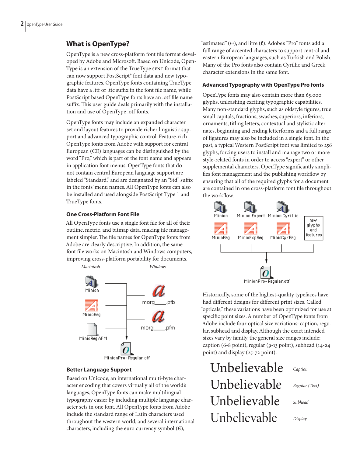# **What is OpenType?**

OpenType is a new cross-platform font file format developed by Adobe and Microsoft. Based on Unicode, Open-Type is an extension of the TrueType SFNT format that can now support PostScript® font data and new typographic features. OpenType fonts containing TrueType data have a .ttf or .ttc suffix in the font file name, while PostScript based OpenType fonts have an .otf file name suffix. This user guide deals primarily with the installation and use of OpenType .otf fonts.

OpenType fonts may include an expanded character set and layout features to provide richer linguistic support and advanced typographic control. Feature-rich OpenType fonts from Adobe with support for central European (CE) languages can be distinguished by the word "Pro," which is part of the font name and appears in application font menus. OpenType fonts that do not contain central European language support are labeled "Standard," and are designated by an "Std" suffix in the fonts' menu names. All OpenType fonts can also be installed and used alongside PostScript Type 1 and TrueType fonts.

# **One Cross-Platform Font File**

All OpenType fonts use a single font file for all of their outline, metric, and bitmap data, making file management simpler. The file names for OpenType fonts from Adobe are clearly descriptive. In addition, the same font file works on Macintosh and Windows computers, improving cross-platform portability for documents.



# **Better Language Support**

Based on Unicode, an international multi-byte character encoding that covers virtually all of the world's languages, OpenType fonts can make multilingual typography easier by including multiple language character sets in one font. All OpenType fonts from Adobe include the standard range of Latin characters used throughout the western world, and several international characters, including the euro currency symbol  $(\epsilon)$ ,

"estimated" ( $\Theta$ ), and litre (ℓ). Adobe's "Pro" fonts add a full range of accented characters to support central and eastern European languages, such as Turkish and Polish. Many of the Pro fonts also contain Cyrillic and Greek character extensions in the same font.

# **Advanced Typography with OpenType Pro fonts**

OpenType fonts may also contain more than 65,000 glyphs, unleashing exciting typographic capabilities. Many non-standard glyphs, such as oldstyle figures, true small capitals, fractions, swashes, superiors, inferiors, ornaments, titling letters, contextual and stylistic alternates, beginning and ending letterforms and a full range of ligatures may also be included in a single font. In the past, a typical Western PostScript font was limited to glyphs, forcing users to install and manage two or more style-related fonts in order to access "expert" or other supplemental characters. OpenType significantly simplifies font management and the publishing workflow by ensuring that all of the required glyphs for a document are contained in one cross-platform font file throughout the workflow.



Historically, some of the highest-quality typefaces have had different designs for different print sizes. Called "opticals," these variations have been optimized for use at specific point sizes. A number of OpenType fonts from Adobe include four optical size variations: caption, regular, subhead and display. Although the exact intended sizes vary by family, the general size ranges include: caption (6-8 point), regular (9-13 point), subhead (14-24 point) and display  $(25-72 \text{ point})$ .

Unbelievable *Caption* Unbelievable *Regular (Text)* Unbelievable *Subhead* Unbelievable *Display*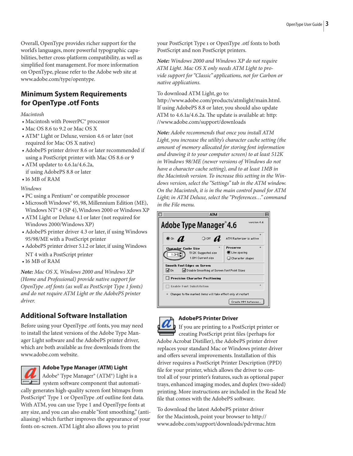Overall, OpenType provides richer support for the world's languages, more powerful typographic capabilities, better cross-platform compatibility, as well as simplified font management. For more information on OpenType, please refer to the Adobe web site at www.adobe.com/type/opentype.

# **Minimum System Requirements for OpenType .otf Fonts**

#### *Macintosh*

- Macintosh with PowerPC® processor
- Mac OS 8.6 to 9.2 or Mac OS X
- ATM® Light or Deluxe, version 4.6 or later (not required for Mac OS X native)
- AdobePS printer driver 8.6 or later recommended if using a PostScript printer with Mac OS 8.6 or 9
- ATM updater to 4.6.1a/4.6.2a,
- if using AdobePS 8.8 or later
- $\bullet$  16 MB of RAM

#### *Windows*

- PC using a Pentium® or compatible processor
- Microsoft Windows® 95, 98, Millennium Edition (ME), Windows  $NT^*$  4 (SP 4), Windows 2000 or Windows XP
- ATM Light or Deluxe 4.1 or later (not required for Windows 2000/Windows XP)
- AdobePS printer driver 4.3 or later, if using Windows 95/98/ME with a PostScript printer
- AdobePS printer driver 5.1.2 or later, if using Windows
- NT 4 with a PostScript printer
- 16 MB of RAM

*Note: Mac OS X, Windows 2000 and Windows XP (Home and Professional) provide native support for OpenType .otf fonts (as well as PostScript Type 1 fonts) and do not require ATM Light or the AdobePS printer driver.*

# **Additional Software Installation**

Before using your OpenType .otf fonts, you may need to install the latest versions of the Adobe Type Manager Light software and the AdobePS printer driver, which are both available as free downloads from the www.adobe.com website.



#### **Adobe Type Manager (ATM) Light**

Adobe® Type Manager® (ATM®) Light is a system software component that automatically generates high-quality screen font bitmaps from PostScript® Type 1 or OpenType .otf outline font data. With ATM, you can use Type 1 and OpenType fonts at any size, and you can also enable "font smoothing," (antialiasing) which further improves the appearance of your fonts on-screen. ATM Light also allows you to print

your PostScript Type 1 or OpenType .otf fonts to both PostScript and non PostScript printers.

*Note: Windows 2000 and Windows XP do not require ATM Light. Mac OS X only needs ATM Light to provide support for "Classic" applications, not for Carbon or native applications.* 

To download ATM Light, go to: http://www.adobe.com/products/atmlight/main.html. If using AdobePS 8.8 or later, you should also update ATM to 4.6.1a/4.6.2a. The update is available at: http: //www.adobe.com/support/downloads

*Note: Adobe recommends that once you install ATM Light, you increase the utility's character cache setting (the amount of memory allocated for storing font information and drawing it to your computer screen) to at least 512K in Windows 98/ME (newer versions of Windows do not have a character cache setting), and to at least 1MB in the Macintosh version. To increase this setting in the Windows version, select the "Settings" tab in the ATM window. On the Macintosh, it is in the main control panel for ATM Light; in ATM Deluxe, select the "Preferences…" command in the File menu.*





#### **AdobePS Printer Driver**

If you are printing to a PostScript printer or creating PostScript print files (perhaps for Adobe Acrobat Distiller), the AdobePS printer driver replaces your standard Mac or Windows printer driver and offers several improvements. Installation of this driver requires a PostScript Printer Description (PPD) file for your printer, which allows the driver to control all of your printer's features, such as optional paper trays, enhanced imaging modes, and duplex (two-sided) printing. More instructions are included in the Read Me file that comes with the AdobePS software.

To download the latest AdobePS printer driver for the Macintosh, point your browser to http:// www.adobe.com/support/downloads/pdrvmac.htm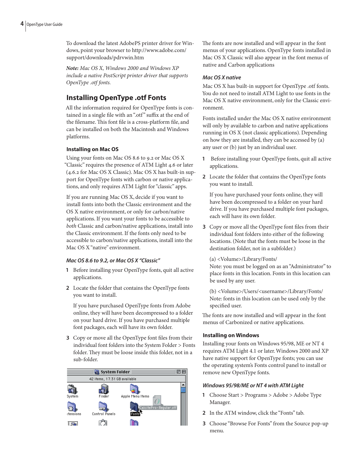4 OpenType User Guide

To download the latest AdobePS printer driver for Windows, point your browser to http://www.adobe.com/ support/downloads/pdrvwin.htm

*Note: Mac OS X, Windows 2000 and Windows XP include a native PostScript printer driver that supports OpenType .otf fonts.*

# **Installing OpenType .otf Fonts**

All the information required for OpenType fonts is contained in a single file with an ".otf" suffix at the end of the filename. This font file is a cross-platform file, and can be installed on both the Macintosh and Windows platforms.

#### **Installing on Mac OS**

Using your fonts on Mac OS 8.6 to 9.2 or Mac OS X "Classic" requires the presence of ATM Light 4.6 or later  $(4.6.2$  for Mac OS X Classic). Mac OS X has built-in support for OpenType fonts with carbon or native applications, and only requires ATM Light for "classic" apps.

If you are running Mac OS X, decide if you want to install fonts into both the Classic environment and the OS X native environment, or only for carbon/native applications. If you want your fonts to be accessible to *both* Classic and carbon/native applications, install into the Classic environment. If the fonts only need to be accessible to carbon/native applications, install into the Mac OS X "native" environment.

#### **Mac OS 8.6 to 9.2, or Mac OS X "Classic"**

- **1** Before installing your OpenType fonts, quit all active applications.
- **2** Locate the folder that contains the OpenType fonts you want to install.

If you have purchased OpenType fonts from Adobe online, they will have been decompressed to a folder on your hard drive. If you have purchased multiple font packages, each will have its own folder.

**3** Copy or move all the OpenType font files from their individual font folders into the System Folder > Fonts folder. They must be loose inside this folder, not in a sub-folder.



The fonts are now installed and will appear in the font menus of your applications. OpenType fonts installed in Mac OS X Classic will also appear in the font menus of native and Carbon applications

#### **Mac OS X native**

Mac OS X has built-in support for OpenType .otf fonts. You do not need to install ATM Light to use fonts in the Mac OS X native environment, only for the Classic environment.

Fonts installed under the Mac OS X native environment will only by available to carbon and native applications running in OS X (not classic applications). Depending on how they are installed, they can be accessed by (a) any user or (b) just by an individual user.

- **1** Before installing your OpenType fonts, quit all active applications.
- **2** Locate the folder that contains the OpenType fonts you want to install.

If you have purchased your fonts online, they will have been decompressed to a folder on your hard drive. If you have purchased multiple font packages, each will have its own folder.

**3** Copy or move all the OpenType font files from their individual font folders into either of the following locations. (Note that the fonts must be loose in the destination folder, not in a subfolder.)

(a) <Volume>/Library/Fonts/

Note: you must be logged on as an "Administrator" to place fonts in this location. Fonts in this location can be used by any user.

(b) <Volume>/Users/<username>/Library/Fonts/ Note: fonts in this location can be used only by the specified user.

The fonts are now installed and will appear in the font menus of Carbonized or native applications.

#### **Installing on Windows**

Installing your fonts on Windows 95/98, ME or NT 4 requires ATM Light 4.1 or later. Windows 2000 and XP have native support for OpenType fonts; you can use the operating system's Fonts control panel to install or remove new OpenType fonts.

#### **Windows 95/98/ME or NT 4 with ATM Light**

- **1** Choose Start > Programs > Adobe > Adobe Type Manager.
- **2** In the ATM window, click the "Fonts" tab.
- **3** Choose "Browse For Fonts" from the Source pop-up menu.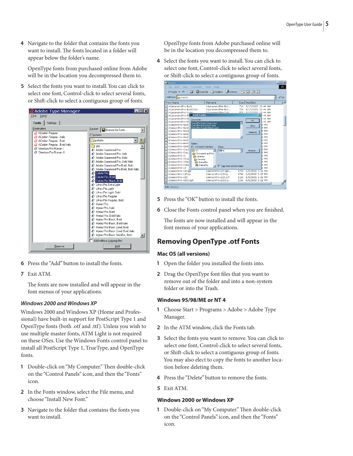**4** Navigate to the folder that contains the fonts you want to install. The fonts located in a folder will appear below the folder's name.

OpenType fonts from purchased online from Adobe will be in the location you decompressed them to.

**5** Select the fonts you want to install. You can click to select one font, Control-click to select several fonts, or Shift-click to select a contiguous group of fonts.



- **6** Press the "Add" button to install the fonts.
- **7** Exit ATM.

The fonts are now installed and will appear in the font menus of your applications.

# **Windows 2000 and Windows XP**

Windows 2000 and Windows XP (Home and Professional) have built-in support for PostScript Type 1 and OpenType fonts (both .otf and .ttf). Unless you wish to use multiple master fonts, ATM Light is not required on these OSes. Use the Windows Fonts control panel to install all PostScript Type 1, TrueType, and OpenType fonts.

- 1 Double-click on "My Computer." Then double-click on the "Control Panels" icon, and then the "Fonts" icon.
- **2** In the Fonts window, select the File menu, and choose "Install New Font."
- **3** Navigate to the folder that contains the fonts you want to install.

OpenType fonts from Adobe purchased online will be in the location you decompressed them to.

**4** Select the fonts you want to install. You can click to select one font, Control-click to select several fonts, or Shift-click to select a contiguous group of fonts.



- **5** Press the "OK" button to install the fonts.
- **6** Close the Fonts control panel when you are finished.

The fonts are now installed and will appear in the font menus of your applications.

# **Removing OpenType .otf Fonts**

# **Mac OS (all versions)**

- **1** Open the folder you installed the fonts into.
- **2** Drag the OpenType font files that you want to remove out of the folder and into a non-system folder or into the Trash.

# **Windows 95/98/ME or NT 4**

- **1** Choose Start > Programs > Adobe > Adobe Type Manager.
- **2** In the ATM window, click the Fonts tab.
- **3** Select the fonts you want to remove. You can click to select one font, Control-click to select several fonts, or Shift-click to select a contiguous group of fonts. You may also elect to copy the fonts to another location before deleting them.
- **4** Press the "Delete" button to remove the fonts.
- **5** Exit ATM.

#### **Windows 2000 or Windows XP**

1 Double-click on "My Computer." Then double-click on the "Control Panels" icon, and then the "Fonts" icon.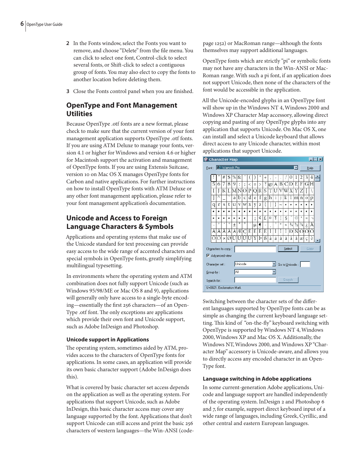- **2** In the Fonts window, select the Fonts you want to remove, and choose "Delete" from the file menu. You can click to select one font, Control-click to select several fonts, or Shift-click to select a contiguous group of fonts. You may also elect to copy the fonts to another location before deleting them.
- **3** Close the Fonts control panel when you are finished.

# **OpenType and Font Management Utilities**

Because OpenType .otf fonts are a new format, please check to make sure that the current version of your font management application supports OpenType .otf fonts. If you are using ATM Deluxe to manage your fonts, version 4.1 or higher for Windows and version 4.6 or higher for Macintosh support the activation and management of OpenType fonts. If you are using Extensis Suitcase, version 10 on Mac OS X manages OpenType fonts for Carbon and native applications. For further instructions on how to install OpenType fonts with ATM Deluxe or any other font management application, please refer to your font management application's documentation.

# **Unicode and Access to Foreign Language Characters & Symbols**

Applications and operating systems that make use of the Unicode standard for text processing can provide easy access to the wide range of accented characters and special symbols in OpenType fonts, greatly simplifying multilingual typesetting.

In environments where the operating system and ATM combination does not fully support Unicode (such as Windows 95/98/ME or Mac OS 8 and 9), applications will generally only have access to a single-byte encoding—essentially the first 256 characters—of an Open-Type .otf font. The only exceptions are applications which provide their own font and Unicode support, such as Adobe InDesign and Photoshop.

#### **Unicode support in Applications**

The operating system, sometimes aided by ATM, provides access to the characters of OpenType fonts for applications. In some cases, an application will provide its own basic character support (Adobe InDesign does this).

What is covered by basic character set access depends on the application as well as the operating system. For applications that support Unicode, such as Adobe InDesign, this basic character access may cover any language supported by the font. Applications that don't support Unicode can still access and print the basic 256 characters of western languages—the Win-ANSI (codepage 1252) or MacRoman range—although the fonts themselves may support additional languages.

OpenType fonts which are strictly "pi" or symbolic fonts may not have any characters in the Win-ANSI or Mac-Roman range. With such a pi font, if an application does not support Unicode, then none of the characters of the font would be accessible in the application.

All the Unicode-encoded glyphs in an OpenType font will show up in the Windows NT 4, Windows 2000 and Windows XP Character Map accessory, allowing direct copying and pasting of any OpenType glyphs into any application that supports Unicode. On Mac OS X, one can install and select a Unicode keyboard that allows direct access to any Unicode character, within most applications that support Unicode.



Switching between the character sets of the different languages supported by OpenType fonts can be as simple as changing the current keyboard language setting. This kind of "on-the-fly" keyboard switching with OpenType is supported by Windows NT 4, Windows 2000, Windows XP and Mac OS X. Additionally, the Windows NT, Windows 2000, and Windows XP "Character Map" accessory is Unicode-aware, and allows you to directly access any encoded character in an Open-Type font.

# **Language switching in Adobe applications**

In some current-generation Adobe applications, Unicode and language support are handled independently of the operating system. InDesign 2 and Photoshop 6 and  $7$ , for example, support direct keyboard input of a wide range of languages, including Greek, Cyrillic, and other central and eastern European languages.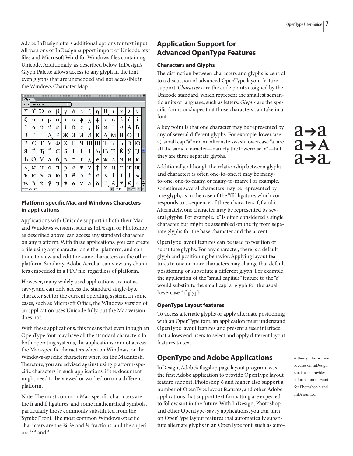Adobe InDesign offers additional options for text input. All versions of InDesign support import of Unicode text files and Microsoft Word for Windows files containing Unicode. Additionally, as described below, InDesign's Glyph Palette allows access to any glyph in the font, even glyphs that are unencoded and not accessible in the Windows Character Map.

|             |   |                    |                     |   |   |        |   |           |            |   |   |         |                         |   | 囙 |
|-------------|---|--------------------|---------------------|---|---|--------|---|-----------|------------|---|---|---------|-------------------------|---|---|
| Glyphs      |   |                    |                     |   |   |        |   |           |            |   |   |         |                         |   |   |
| Show:       |   | <b>Entire Font</b> |                     |   |   | $\div$ |   |           |            |   |   |         |                         |   |   |
|             |   | Ώ                  | α                   | β | Υ | δ      | ε |           | η          | θ | ι | κ       | λ                       | ν |   |
| ξ           | o | π                  | ρ                   | σ | τ | υ      | φ | Χ         | ψ          | ω | ά | έ       | ή                       |   |   |
| ï           | ó | ύ                  | ΰ                   | ώ | ï | ΰ      | ς | $\lambda$ | в          | и |   | θ       | A                       | Б |   |
| Β           | Г | Γ                  | $\overline{\sigma}$ | E | Ж | З      | И | Й         | К          | Λ | Μ | Н       | Ω                       | П |   |
| P           | C | Τ                  | У                   | Ф | X | Ц      | Ч | Ш         | Ш          | Ь | Ы | Ь       | Э                       | Ю |   |
| Я           | Ë | Ђ                  | ŕ                   | Є | S | I      | Ï |           | Лэ<br>ь    | Њ | ħ | Ŕ       | ў                       | Џ |   |
| Ѣ           | Θ | V                  | a                   | б | B | г      | Ľ | $A_{1}$   | e          | Ж | 3 | и       | й                       | К |   |
| Λ<br>٠      | м | н                  | o                   | п | p | C      | Т | y         | ф          | X | Ц | ч       | Ш                       | Щ |   |
| ъ           | ы | ь                  | э                   | ю | я | ë      | ħ | ŕ         | $\epsilon$ | S | i | ï       | Ĩ                       | ٨ |   |
| њ           | ħ | Ŕ                  | ŭ                   | Ų | Ѣ | Θ      | V | ə         | δ          | F | £ | P       | €                       | l |   |
| Warnock Pro |   |                    |                     |   |   |        |   |           |            |   |   | Regular | $\curvearrowright$<br>▼ | ዹ |   |

### **Platform-specific Mac and Windows Characters in applications**

Applications with Unicode support in both their Mac and Windows versions, such as InDesign or Photoshop, as described above, can access any standard character on any platform, With these applications, you can create a file using any character on either platform, and continue to view and edit the same characters on the other platform. Similarly, Adobe Acrobat can view any characters embedded in a PDF file, regardless of platform.

However, many widely used applications are not as savvy, and can only access the standard single-byte character set for the current operating system. In some cases, such as Microsoft Office, the Windows version of an application uses Unicode fully, but the Mac version does not.

With these applications, this means that even though an OpenType font may have all the standard characters for both operating systems, the applications cannot access the Mac-specific characters when on Windows, or the Windows-specific characters when on the Macintosh. Therefore, you are advised against using platform-specific characters in such applications, if the document might need to be viewed or worked on on a different platform.

Note: The most common Mac-specific characters are the fi and fl ligatures, and some mathematical symbols, particularly those commonly substituted from the "Symbol" font. The most common Windows-specific characters are the  $\frac{1}{4}$ ,  $\frac{1}{2}$  and  $\frac{3}{4}$  fractions, and the superiors  $\frac{1}{2}$  and  $\frac{3}{2}$ .

# **Application Support for Advanced OpenType Features**

# **Characters and Glyphs**

The distinction between characters and glyphs is central to a discussion of advanced OpenType layout feature support. *Characters* are the code points assigned by the Unicode standard, which represent the smallest semantic units of language, such as letters. *Glyphs* are the specific forms or shapes that those characters can take in a font.

A key point is that one character may be represented by any of several different glyphs. For example, lowercase "a," small cap "a" and an alternate swash lowercase "a" are all the same character—namely the lowercase "a"—but they are three separate glyphs.

Additionally, although the relationship between glyphs and characters is often one-to-one, it may be manyto-one, one-to-many, or many-to-many. For example, sometimes several characters may be represented by one glyph, as in the case of the "ffi" ligature, which corresponds to a sequence of three characters: f, f and i. Alternately, one character may be represented by several glyphs. For example, "e" is often considered a single character, but might be assembled on the fly from separate glyphs for the base character and the accent.

OpenType layout features can be used to position or substitute glyphs. For any character, there is a default glyph and positioning behavior. Applying layout features to one or more characters may change that default positioning or substitute a different glyph. For example, the application of the "small capitals" feature to the "a" would substitute the small cap "a" glyph for the usual lowercase "a" glyph.

# **OpenType Layout features**

To access alternate glyphs or apply alternate positioning with an OpenType font, an application must understand OpenType layout features and present a user interface that allows end users to select and apply different layout features to text.

# **OpenType and Adobe Applications**

InDesign, Adobe's flagship page layout program, was the first Adobe application to provide OpenType layout feature support. Photoshop 6 and higher also support a number of OpenType layout features, and other Adobe applications that support text formatting are expected to follow suit in the future. With InDesign, Photoshop and other OpenType-savvy applications, you can turn on OpenType layout features that automatically substitute alternate glyphs in an OpenType font, such as auto-

# a→a  $a \rightarrow A$  $a \rightarrow a$

Although this section focuses on InDesign 2.0, it also provides information relevant for Photoshop 6 and InDesign 1.x.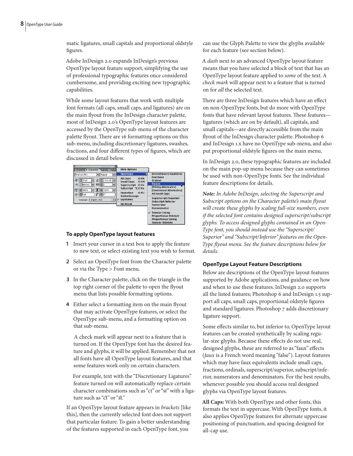matic ligatures, small capitals and proportional oldstyle figures.

Adobe InDesign 2.0 expands InDesign's previous OpenType layout feature support, simplifying the use of professional typographic features once considered cumbersome, and providing exciting new typographic capabilities.

While some layout features that work with multiple font formats (all caps, small caps, and ligatures) are on the main flyout from the InDesign character palette, most of InDesign 2.0's OpenType layout features are accessed by the OpenType sub-menu of the character palette flyout. There are 16 formatting options on this sub-menu, including discretionary ligatures, swashes, fractions, and four different types of figures, which are discussed in detail below.

| Transform # Character<br>o<br><b>Yagraph</b> | <b>Hide Options</b>                                                  |                                                                                                               |
|----------------------------------------------|----------------------------------------------------------------------|---------------------------------------------------------------------------------------------------------------|
| Warnock Pro<br>Regular                       | OpenType                                                             | <b>Discretionary Ligatures</b>                                                                                |
| $12$ pt<br>$(14.4 \text{ pt})$               | All Caps<br>△ <sub>米K</sub><br><b>Small Caps</b><br>△ <sub>第</sub> H | <b>Fractions</b><br>Ordinal                                                                                   |
| AV -0<br>AW Metrics                          | Superscript $\triangle$ $\mathcal{E}$ =                              | Swash                                                                                                         |
| $\mathbf{T}$ = 100%<br>100%                  | Subscript $\sum \triangle 36$ =                                      | L)<br><b>ITitling Alternates1</b><br>[Contextual Alternates]                                                  |
| $T$ ਜ਼ਿਿ<br><u>4</u> ÷opt                    | Underline<br>へまけ<br>Strikethrough                                    | <b>All Small Caps</b>                                                                                         |
| $\div$<br>English: USA<br>Language:          | <b>Ligatures</b>                                                     | Superscript/Superior<br>Subscript/Inferior                                                                    |
|                                              | No Break                                                             | <b>Numerator</b>                                                                                              |
|                                              |                                                                      | Denominator                                                                                                   |
|                                              |                                                                      | $\checkmark$ Tabular Lining<br><b>Proportional Oldstyle</b><br><b>Proportional Lining</b><br>Tabular Oldstyle |

#### **To apply OpenType layout features**

- **1** Insert your cursor in a text box to apply the feature to new text, or select existing text you wish to format.
- **2** Select an OpenType font from the Character palette or via the Type > Font menu.
- **3** In the Character palette, click on the triangle in the top right corner of the palette to open the flyout menu that lists possible formatting options.
- **4** Either select a formatting item on the main flyout that may activate OpenType features, or select the OpenType sub-menu, and a formatting option on that sub-menu.

 A check mark will appear next to a feature that is turned on. If the OpenType font has the desired feature and glyphs, it will be applied. Remember that not all fonts have all OpenType layout features, and that some features work only on certain characters.

 For example, text with the "Discretionary Ligatures" feature turned on will automatically replace certain character combinations such as "ct" or "st" with a ligature such as "ct" or "st."

If an OpenType layout feature appears in *brackets* [like this], then the currently selected font does not support that particular feature. To gain a better understanding of the features supported in each OpenType font, you

can use the Glyph Palette to view the glyphs available for each feature (see section below).

A *dash* next to an advanced OpenType layout feature means that you have selected a block of text that has an OpenType layout feature applied to *some* of the text. A *check mark* will appear next to a feature that is turned on for *all* the selected text.

There are three InDesign features which have an effect on non-OpenType fonts, but do more with OpenType fonts that have relevant layout features. These features ligatures (which are on by default), all capitals, and small capitals —are directly accessible from the main flyout of the InDesign character palette. Photoshop 6 and InDesign .x have no OpenType sub-menu, and also put proportional oldstyle figures on the main menu.

In InDesign 2.0, these typographic features are included on the main pop-up menu because they can sometimes be used with non-OpenType fonts. See the individual feature descriptions for details.

*Note: In Adobe InDesign, selecting the Superscript and Subscript options on the Character palette's main flyout will create these glyphs by scaling full-size numbers, even if the selected font contains designed superscript/subscript glyphs. To access designed glyphs contained in an Open-Type font, you should instead use the "Superscript/ Superior" and "Subscript/Inferior" features on the Open-Type flyout menu. See the feature descriptions below for details.*

# **OpenType Layout Feature Descriptions**

Below are descriptions of the OpenType layout features supported by Adobe applications, and guidance on how and when to use these features. InDesign 2.0 supports all the listed features; Photoshop 6 and InDesign 1.5 support all caps, small caps, proportional oldstyle figures and standard ligatures. Photoshop 7 adds discretionary ligature support.

Some effects similar to, but inferior to, OpenType layout features can be created synthetically by scaling regular-size glyphs. Because these effects do not use real, designed glyphs, these are referred to as "faux" effects (*faux* is a French word meaning "false"). Layout features which may have faux equivalents include small caps, fractions, ordinals, superscript/superior, subscript/inferior, numerators and denominators. For the best results, whenever possible you should access real designed glyphs via OpenType layout features.

**All Caps:** With both OpenType and other fonts, this formats the text in uppercase. With OpenType fonts, it also applies OpenType features for alternate uppercase positioning of punctuation, and spacing designed for all-cap use.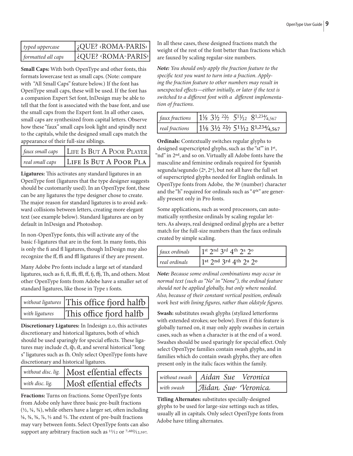| $ $ typed uppercase | $ 2$ QUE? <roma-paris></roma-paris> |
|---------------------|-------------------------------------|
| formatted all caps  | ¿QUE? <roma-paris></roma-paris>     |

**Small Caps:** With both OpenType and other fonts, this formats lowercase text as small caps. (Note: compare with "All Small Caps" feature below.) If the font has OpenType small caps, these will be used. If the font has a companion Expert Set font, InDesign may be able to tell that the font is associated with the base font, and use the small caps from the Expert font. In all other cases, small caps are synthesized from capital letters. Observe how these "faux" small caps look light and spindly next to the capitals, while the designed small caps match the appearance of their full-size siblings.

|                 | faux small caps   LIFE IS BUT A POOR PLAYER |
|-----------------|---------------------------------------------|
| real small caps | LIFE IS BUT A POOR PLA                      |

Ligatures: This activates any standard ligatures in an OpenType font (ligatures that the type designer suggests should be customarily used). In an OpenType font, these can be any ligatures the type designer chose to create. The major reason for standard ligatures is to avoid awkward collisions between letters, creating more elegant text (see example below). Standard ligatures are on by default in InDesign and Photoshop.

In non-OpenType fonts, this will activate any of the basic f-ligatures that are in the font. In many fonts, this is only the fi and fl ligatures, though InDesign may also recognize the ff, ffi and ffl ligatures if they are present.

Many Adobe Pro fonts include a large set of standard ligatures, such as fi, fl, ffi, ffl, ff, fj, ffj, Th, and others. Most other OpenType fonts from Adobe have a smaller set of standard ligatures, like those in Type 1 fonts.

|                | without ligatures This office fjord halfb |
|----------------|-------------------------------------------|
| with ligatures | This office fjord halfb                   |

**Discretionary Ligatures:** In Indesign 2.0, this activates discretionary and historical ligatures, both of which should be used sparingly for special effects. These ligatures may include ct,  $s$ p, st, and several historical "long s" ligatures such as fh. Only select OpenType fonts have discretionary and historical ligatures.

|                 | <i>without disc. lig.</i>   Most effential effects |
|-----------------|----------------------------------------------------|
| with disc. lig. | Most effential effects                             |

**Fractions:** Turns on fractions. Some OpenType fonts from Adobe only have three basic pre-built fractions  $(1/2, 1/4, 3/4)$ , while others have a larger set, often including  $1/8$ ,  $3/8$ ,  $5/8$ ,  $7/8$ ,  $1/3$  and  $3/4$ . The extent of pre-built fractions may vary between fonts. Select OpenType fonts can also support any arbitrary fraction such as  $\frac{11}{12}$  or  $\frac{7,402}{12,597}$ .

In all these cases, these designed fractions match the weight of the rest of the font better than fractions which are fauxed by scaling regular-size numbers.

*Note: You should only apply the fraction feature to the*  specific text you want to turn into a fraction. Apply*ing the fraction feature to other numbers may result in unexpected effects—either initially, or later if the text is* switched to a different font with a different implementa*tion of fractions.* 

| $\int$ faux fractions | $1\frac{1}{8}$ 3 <sup>1</sup> / <sub>2</sub> <sup>22</sup> / <sub>7</sub> 5 <sup>1</sup> <sup>/</sup> <sub>12</sub> 8 <sup>1,234</sup> / <sub>4,567</sub>    |
|-----------------------|--------------------------------------------------------------------------------------------------------------------------------------------------------------|
| real fractions        | $1\frac{1}{8}$ 3 <sup>1</sup> / <sub>2</sub> 2 <sup>2</sup> / <sub>7</sub> 5 <sup>1</sup> <sup>1</sup> / <sub>12</sub> 8 <sup>1,234</sup> / <sub>4,567</sub> |

**Ordinals:** Contextually switches regular glyphs to designed superscripted glyphs, such as the "st" in 1st, "nd" in 2<sup>nd</sup>, and so on. Virtually all Adobe fonts have the masculine and feminine ordinals required for Spanish segunda/segundo  $(2^a, 2^o)$ , but not all have the full set of superscripted glyphs needed for English ordinals. In OpenType fonts from Adobe, the  $N<sup>0</sup>$  (number) character and the "h" required for ordinals such as "4<sup>th</sup>" are generally present only in Pro fonts.

Some applications, such as word processors, can automatically synthesize ordinals by scaling regular letters. As always, real designed ordinal glyphs are a better match for the full-size numbers than the faux ordinals created by simple scaling.

| $\int$ faux ordinals | $11^{st}$ 2nd 3rd 4 <sup>th</sup> 2 <sup>a</sup> 2 <sup>o</sup> |
|----------------------|-----------------------------------------------------------------|
| real ordinals        | 1st 2nd 3rd 4th 2a 20                                           |

*Note: Because some ordinal combinations may occur in normal text (such as "No" in "None"), the ordinal feature should not be applied globally, but only where needed. Also, because of their constant vertical position, ordinals*  work best with lining figures, rather than oldstyle figures.

**Swash:** substitutes swash glyphs (stylized letterforms with extended strokes; see below). Even if this feature is globally turned on, it may only apply swashes in certain cases, such as when a character is at the end of a word. Swashes should be used sparingly for special effect. Only select OpenType families contain swash glyphs, and in families which do contain swash glyphs, they are often present only in the italic faces within the family.

| $\vert$ without swash $\vert$ Aidan Sue Veronica |  |                    |  |
|--------------------------------------------------|--|--------------------|--|
| with swash                                       |  | Aidan Sue Veronica |  |

**Titling Alternates:** substitutes specially-designed glyphs to be used for large-size settings such as titles, usually all in capitals. Only select OpenType fonts from Adobe have titling alternates.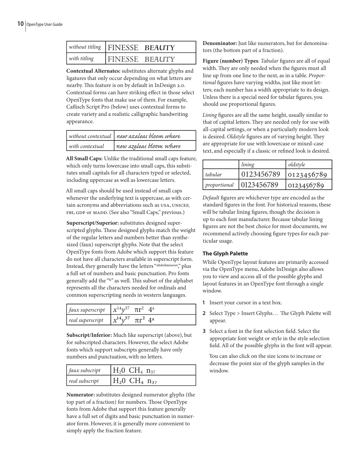| without titling   FINESSE BEAUTY |                        |  |
|----------------------------------|------------------------|--|
| with titling                     | <b>IFINESSE BEAUTY</b> |  |

**Contextual Alternates:** substitutes alternate glyphs and ligatures that only occur depending on what letters are nearby. This feature is on by default in InDesign 2.0. Contextual forms can have striking effect in those select OpenType fonts that make use of them. For example, Caflisch Script Pro (below) uses contextual forms to create variety and a realistic calligraphic handwriting appearance.

|                 | $\vert$ without contextual $\vert$ new azaleas bloom where |
|-----------------|------------------------------------------------------------|
| with contextual | new azaleas bloom where                                    |

**All Small Caps:** Unlike the traditional small caps feature, which only turns lowercase into small caps, this substitutes small capitals for all characters typed or selected, including uppercase as well as lowercase letters.

All small caps should be used instead of small caps whenever the underlying text is uppercase, as with certain acronyms and abbreviations such as USA, UNICEF, FBI, GDP OT MADD. (See also "Small Caps," previous.)

**Superscript/Superior:** substitutes designed superscripted glyphs. These designed glyphs match the weight of the regular letters and numbers better than synthesized (faux) superscript glyphs. Note that the select OpenType fonts from Adobe which support this feature do not have all characters available in superscript form. Instead, they generally have the letters "abdeilmnorst," plus a full set of numbers and basic punctuation. Pro fonts generally add the "h" as well. This subset of the alphabet represents all the characters needed for ordinals and common superscripting needs in western languages.

| faux superscript $\int x^{14}v^{37}$ |  |
|--------------------------------------|--|
| real superscript                     |  |

**Subscript/Inferior:** Much like superscript (above), but for subscripted characters. However, the select Adobe fonts which support subscripts generally have only numbers and punctuation, with no letters.

| $\int$ faux subscript | $H_20 \text{ CH}_4 \text{ n}_{37}$ |
|-----------------------|------------------------------------|
| real subscript        | $H_20$ CH <sub>4</sub> $n_{37}$    |

**Numerator:** substitutes designed numerator glyphs (the top part of a fraction) for numbers. Those OpenType fonts from Adobe that support this feature generally have a full set of digits and basic punctuation in numerator form. However, it is generally more convenient to simply apply the fraction feature.

**Denominator:** Just like numerators, but for denominators (the bottom part of a fraction).

Figure (number) Types: *Tabular* figures are all of equal width. They are only needed when the figures must all line up from one line to the next, as in a table. *Proportional* figures have varying widths, just like most letters; each number has a width appropriate to its design. Unless there is a special need for tabular figures, you should use proportional figures.

*Lining* figures are all the same height, usually similar to that of capital letters. They are needed only for use with all-capital settings, or when a particularly modern look is desired. *Oldstyle* figures are of varying height. They are appropriate for use with lowercase or mixed-case text, and especially if a classic or refined look is desired.

|  |              | lining     | oldstyle   |
|--|--------------|------------|------------|
|  | tabular      | 0123456789 | 0123456789 |
|  | proportional | 0123456789 | 0123456789 |

*Default* figures are whichever type are encoded as the standard figures in the font. For historical reasons, these will be tabular lining figures, though the decision is up to each font manufacturer. Because tabular lining figures are not the best choice for most documents, we recommend actively choosing figure types for each particular usage.

# **The Glyph Palette**

While OpenType layout features are primarily accessed via the OpenType menu, Adobe InDesign also allows you to view and access all of the possible glyphs and layout features in an OpenType font through a single window.

- **1** Insert your cursor in a text box.
- 2 Select Type > Insert Glyphs... The Glyph Palette will appear.
- **3** Select a font in the font selection field. Select the appropriate font weight or style in the style selection field. All of the possible glyphs in the font will appear.

You can also click on the size icons to increase or decrease the point size of the glyph samples in the window.